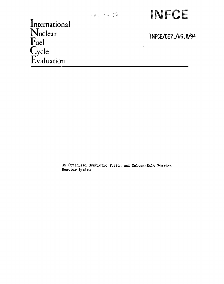

International  $\Gamma$ uel  $C$ ycle Evaluation

 $\bar{V}$ 

INFCE/DEP./WG.8/94

 $\ddot{\bullet}$ 

An Optimized Symbiotic Fusion and Molten-Salt Fission Reactor System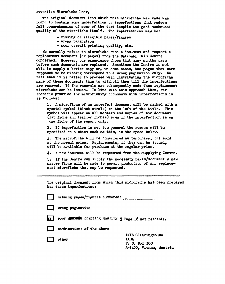#### **Attention Microfiche User,**

**The original document from which this microfiche was made was found to contain some imperfection or imperfections that reduce full comprehension of some of the text despite the good technical quality of the microfiche itself. The imperfections may be:** 

- **missing or illegible pages/figures**
- **wrong pagination**
- **poor overall printing quality, etc.**

**We normally refuse to microfiche such a document and request a replacement document (or pages) from the National INIS Centre concerned. However, our experience shows that many months pasa before such documents are replaced. Sometimes the Centre is not able to supply a better copy or, in some cases, the pages that were supposed to be missing correspond to a wrong pagination only. Ne feel that it is better to proceed with distributing the microfiche made of these documents than to withhold them till the imperfections are removed. If the removals are eubsequestly made then replacement microfiche can be issued. In line with this approach then, our specific practice for microfiching documents with imperfections is as follows:** 

**1. A microfiche of an imperfect document will be marked with a special symbol (black circle) on the left of the title. This symbol will appear on all masters and copies of the document (1st fiche and trailer fiches) even if the imperfection is on one fiche of the report only.** 

**2. If imperfection is not too general the reason will be specified on a sheet such as this, in the space below.** 

**3. The microfiche will be considered as temporary, but sold at the normal price. Replacements, if they can be issued, will be available for purchase at the regular price.** 

**4\* A new document will be requested from the supplying Centre.** 

**3\* If the Centre can supply the necessary pages/document a new master fiche will be made to permit production of any replacement microfiche that may be requested.** 

**The original document from which this microfiche has been prepared has these imperfections:** 

**| j missing pages/figures numbered:** 

**1 | wrong pagination** 

**£ 3 poor** *\*Mm.* **printing quality • Page** *IQ* **no <sup>t</sup> readable.** 

combinations of the above

other **IAEA** 

**INIS Clearinghouse P. 0. Box 100 A-1400, Vienna, Austria**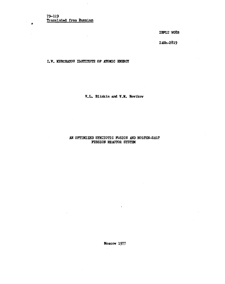$\blacktriangle$ 

**IHFCE WG8B** 

**IAEh-2819** 

**I.V. KURCHATOV D3TITUTE OP ATOMIC ENERGY** 

**V.L. Blihlcin and V.M. Novikov** 

# **AW OPTIMIZED SYJCIOTIC FUSION AND MOLTEK-SALT FISSION REACTOR SYSTEM**

**Moscow 1977**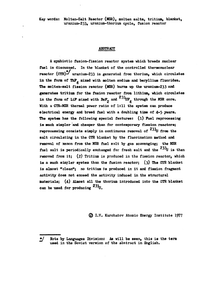**Key words: Kolten-Salt Reactor (HSR), molten salts, tritium, blanket, uraniuza-233, uranium-thorium cycle , fusion reactor** 

### **ABSTRACT**

**A symbiotic fusion-fission reactor system which breeds nuclear fuel is discussed. In the blanket of the controlled thermonuclear reactor**  $(\text{CTR})^{\frac{1}{n}}$  uranium-233 is generated from thorium, which circulates in the form of ThP<sub>A</sub> mixed with molten sodium and beryllium fluorides. The molten-salt fission reactor (MSR) burns up the uranium-233 and generates tritium for the fusion reactor from lithium, which circulates in the form of LiF mixed with BeF<sub>2</sub> and  $^{233}$ UF<sub>A</sub> through the MSR core. With a CTR-MSR thermal power ratio of 1:11 the system can produce electrical energy and breed fuel with a doubling time of 4-5 years. The system has the following special features: (1) Fuel reprocessing is much simpler and cheaper than for contemporary fission reactors; **reprocessing consists simply in continuous removal of <sup>233</sup>U from the** salt circulating in the CTR blanket by the fluorination method and removal of xenon from the MSR fuel salt by gas scavenging; the MSR fuel salt is periodically exchanged for fresh salt and the <sup>233</sup>U is then **fuel from** it; (2) Tritium is produced in the fission reactor. which is a much simpler system than the fusion reactor; (3) The CIR blanket is almost "clean"; no tritium is produced in it and fission fragment activity does not exceed the activity induced in the structural materials: (4) Almost all the thorium introduced into the CTR blanket can be used for producing  $233<sub>U</sub>$ .

**(g) I.V. Kurchatov Atomic Energy Institute 1977** 

*<sup>2</sup>J* **Note by Languages Division: As will be seen, this is the term used in the Soviet version of the abstract in English.**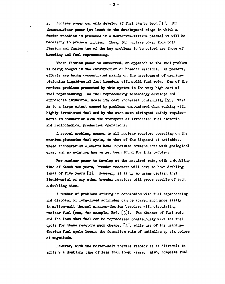**1. Kuclear power can only develop if fuel can he bred [l]. For thermonuclear power (at least in the development stage in which a fusion reaction is produced in a deuterium-tritium plasma) it will be necessary to produce tritium. Thus, for nuclear power from both fission and fusion two of the key problems to be solved are those of breeding and fuel reprocessing.** 

**Where fission power is concerned, an approach to the fuel problem is being sought in the construction of breeder reactors. At present, efforts are being concentrated mainly on the development of uranium**plutonium liquid-metal fast breeders with solid fuel rods. One of the **serious problems presented by this system is the very high cost of fuel reprocessing; as fuel reprocessing technology develops and approaches industrial scale its cost increases continually** *[.2],* **This is to a large extent caused by problems encountered when working with highly irradiated fuel and by the even more stringent safety requirements in connection with the transport of irradiated fuel elements and radiochemical production operations.** 

**A second problem, common to all nuclear reactors operating on the uranium-Plutonium fuel cycle, is that of the disposal of actinides. These transuranium elements have lifetimes commensurate with geological eras, and no solution has as yet been found for this problem.** 

**For nuclear power to develop at the required rate, with a doubling time of about ten years, breeder reactors will have to have doubling**  times of five years [1]. However, it is by no means certain that **liquid-metal or any other breeder reactors will prove capable of such a doubling time.** 

**A number of problems arising in connection with fuel reprocessing**  and disposal of long-lived actinides can be so<sub>rved much more easily</sub> in molten-salt thermal uranium-thorium breeders with circulating muclear fuel (see, for example, Ref. [3]). The absence of fuel rods **and the fact that fuel can be reprocessed continuously make the fuel cycle for these reactors much cheaper [4], while use of the uraniumthorium fuel cycle lowers the formation rate of actinides by six orders of magnitude.** 

**However, with the molten-salt thermal reactor it is difficult to achieve, a doubling time of less than 15-20 years. Also, complete fuel** 

**- 2 -**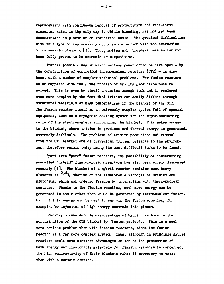**reprocessing with continuous removal of protactinium and rare-earth elements, which is the only way to obtain breeding, has not yet been demorstrated in plants on an industrial scale. The greatest difficulties with this type of reprocessing occur in connection with the extraction of rare-earth elements [5]. Thus, molten-salt breeders have so far not been fully proven to be economic or competitive.** 

**Another possible way in which nuclear power could be developed - by the construction of controlled thermonuclear reactors (CTR) - is also beset with a number of complex technical problems. For fusion reactors to be supplied with fuel, the problem of tritium production must be solved. This is even by itself a complex enough task and is rendered even more complex by the fact that tritium can easily diffuse through structural materials at high temperatures in the blanket of the CTR. The fusion reactor itself is an extremely complex system full of special equipment, such as a cryogenic cooling system for the super-conducting coils of the electromagnets surrounding the blanket. This makes access to the blanket, where tritium is produced and thermal energy is generated, extremely difficult. The problems of tritium production and removal from the CTR blanket and of preventing tritium releases to the environment therefore remain today among the most difficult tasks to be faced.** 

**Apart from "pure" fusion reactors, the possibility of constructing so-called "hybrid" fission-fusion reactors has also been widely discussed recently [6j. The blanket of a hybrid reactor contains such heavy elements as thorium or the fissionable isotopes of uranium and Plutonium, which can undergo fission by interacting with thermonuclear neutrons. Thanks to the fission reaction, much more energy can be generated in the blanket than would be generated by thermonuclear fusion.**  Part of this energy can be used to sustain the fusion reaction, for **example, by injection of high-energy neutrals into plasma.** 

**However, a considerable disadvantage of hybrid reactors is the contamination of the CTR blanket by fission products. This is a much more serious problem than with fission reactors, since the fusion reactor is a far more complex system. Thus, although in principle hybrid reactors could have distinct advantages as far as the production of both energy and fissionable materials for fission reactors is concerned, the high radioactivity of their blankets makes it necessary to treat them with a certain caution.** 

**- 3 -**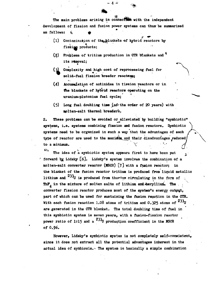The main problems arising in connection with the independent **development of fission and fusion power systems can thus be summarized as follows: % ^** 

 $-4 -$ 

- **(1) Contamination of the^blankets of hybrid reactors by**  fission products;
- **(2) Problems of tritium production in CTR blankets and i ts removal;**
- **(3) Complexity and high cost of reprocessing fuel for**  \* **solid-fuel fission breeder reactors;**

**•** 

- **(4) Accumulation of actinides in fission reactors or in the blankets of hybrid reactors operating on the uranium-Plutonium fuel cycle;**
- **(5) Long fuel doubling time ^of^the order of 20 years) with mplten-salt thermal breeders.**

**2. These problems can be avoided or alleviated' by building "symbiotic' systems, i.e . systems combining fission and fusion reactors. Symbiotic systems need to be organized in such a way that the advantages of each**  type of reactor are used to the maximum and their disadvantages reduced/ **to a minimum.** *\***<sup>v</sup>"** */i* 

**EXECUTE:**<br>The idea of a symbiotic system appears first to have been put **The idea of a symbiotic system, appearu first to have been put \* forward bjr Lidsky [6]. Lidsky<sup>f</sup>** molten-salt converter reactor (MSCR) [7] with a fusion reactor; in the blanket of the fusion reactor tritium is produced from liquid metallic lithium and <sup>233</sup>U is produced from thorium circulating in the form of **lithium and is produced from thorium circulating in the form of . ThP. in the mixture of molten salts of lithium and\*eryllium» The . , converter fission reactor produces most of the system's energy output, part of which can be used for sustaining the fusion reaction in the CTR. With each fusion reaction 1.08 atoms of tritium and 0,325 atoms of \***  are generated in the CTR blanket. The total doubling time of fuel in this symbiotic system is seven years, with a fusion-fission reactor power ratio of 1:15 and a <sup>233</sup>U production coefficient in the MSCR **power ratio of 1:15 and a<sup>233</sup> U production coefficient in the MSCR** 

**However, Lidsky's symbiotic system is not completely self-consistent, since it does not extract all the potential advantages inherent in the actual idea of symbiosis. >> The system** *in* **basically a simple combination**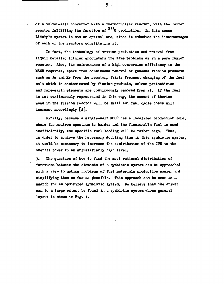of a molten-salt converter with a thermonuclear reactor, with the latter reactor fulfilling the function of <sup>233</sup>U production. In this sense **Lidsiy\*s system is not an optimal one, since it embodies the disadvantages of each of the reactors constituting it.** 

- 5 -

**In fact, the technology of tritium production and removal from liquid metallic lithium encounters the same problems as in a pure fusion reactor. Also, the maintenance of a high conversion efficiency in the MSCR requires, apart from continuous removal of gaseous fission products such as Xe and Kr from the reactor, fairly frequent changing of the fuel salt which is contaminated by fission products, unless protactinium and rare-earth elements are continuously removed from it. If the fuel is not continuously reprocessed in this way, the amount of thorium used in the fission reactor will be small and fuel cycle costs will increase accordingly [4].** 

**Finally, because a single—salt MSCR has a localized production zone, where the neutron spectrum is harder and the fissionable fuel is used inefficiently, the specific fuel loading will be rather high. Thus, in order to achieve the necessary doubling time in this symbiotic system, it would be necessary to increase the contribution of the CTR to the overall power to an unjustifiably high level.** 

**3. The question of how to find the most rational distribution of functions between the elements of a symbiotic system can be approached with a view to making problems of fuel materials production easier and simplifying them as far as possible. This approach can be seen as a search for an optimized symbiotic system. He believe that the answer can to a large extent be found in a symbiotic system whose general layout is shown in Pig. 1,**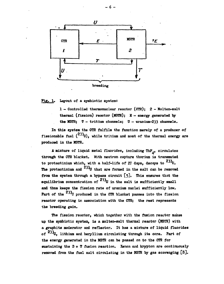

**Pig. 1» Layout of a symbiotic system:** 

**1 — Controlled thermonuclear reactor (CTR); 2 - Molten-salt thermal (fission) reactor (KSTR); E - energy generated by the MSTR; T - tritium channels; U - uranium-233 channels.** 

**In this system the CTR fulfils the function merely of a producer of fissionable fuel (<sup>233</sup>u), while tritium and most of the thermal energy are produced in the MSTR.** 

**A mixture of liquid metal fluorides, including ThF., circulates through the CTR blanket. With neutron capture thorium is transmuted**  to protactinium which, with a half-life of 27 days, decays to <sup>200</sup>U. **The protactinium and <sup>233</sup> U that are formed in the salt can be removed from the system through a bypass circuit [5]. This ensures that the equilibrium concentration of <sup>233</sup>U in the salt is sufficiently small and thus keeps the fission rate of uranium nuclei sufficiently low.**  Part of the <sup>233</sup>U produced in the CTR blanket passes into the fission **reactor operating in association with the CTR; the rest represents the breeding gain.** 

**The fission reactor, which together with the fusion reactor makes up the symbiotic system, is a molten-salt thermal reactor (MSTR) with a graphite moderator and reflector. It has a mixture of liquid fluorides of <sup>233</sup> U. lithium and beryllium circulating through its core. Part of the energy generated in the MSTR can be passed on to the CTR for sustaining the D + T fusion reaction. Xenon and krypton are continuously removed from the fuel salt circulating in the MSTR by gas scavenging [8].**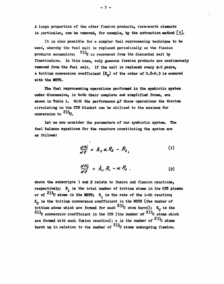**A large proportion of the other fission products, rare-earth elements in particular, can be removed, for example, by the extraction method [5].** 

**It is also possible for a simpler fuel reprocessing technique to be used, whereby the fuel salt is replaced periodically as the fission products accumulate; <sup>233</sup> U is recovered from the discarded salt by fluorination. In this case, only gaseous fission products are continuously removed from the fuel salt. If the salt is replaced every 4-6 years, a tritium conversion coefficient**  $(K_m)$  **of the order of 0.8-0.9 is ensured with the MSTR.** 

**The fuel reprocessing operations performed in the symbiotic system under discussion, in "both their complete and simplified forms, are shown in Table 1. With the performance** *at* **these operations the thorium circulating in the CTR blanket can be utilized to the maximum for conversion to** 

**Let us now consider the parameters of our symbiotic system. The fuel balance equations for the reactors constituting the system are as follows:** 

$$
\frac{dN_i}{d\ell} = k_r \alpha R_2 - R_i \tag{1}
$$

$$
\frac{dA_2'}{dt} = k_{\nu} R_{\nu} - \alpha R_2 . \qquad (2)
$$

**where the subscripts 1 and 2 relate to fusion and fission reactions,**  respectively;  $N_i$  is the total number of tritium atoms in the CTR plasma or of  $233$ U atoms in the MSTR;  $R_i$  is the rate of the i-th reaction; **K\_ is the tritium conversion coefficient in the MSTR (the number of tritium atoms which are formed for each**  $233$ U atom burnt);  $K_{rr}$  is the **<sup>233</sup>U conversion coefficient in the CTR (the number of <sup>233</sup>U atoms which are formed with each fusion reaction); a is the number of <sup>233</sup>u atoms**  burnt up in relation to the number of <sup>233</sup>U atoms undergoing fission.

**- 7 -**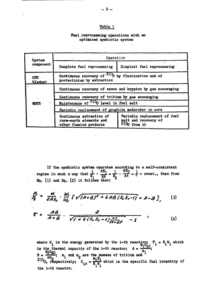### **Tefrle 1**

### **Fuel reprocessing operations with an optimized symbiotic system**

| <b>System</b>         | Operation                                                                                                      |                                                                        |  |  |
|-----------------------|----------------------------------------------------------------------------------------------------------------|------------------------------------------------------------------------|--|--|
| component             | Complete fuel reprocessing                                                                                     | Simplest fuel reprocessing                                             |  |  |
| <b>CTR</b><br>blanket | Continuous recovery of $23\frac{1}{100}$ by fluorination and of<br>protactinium by extraction                  |                                                                        |  |  |
|                       | Continuous recovery of xenon and krypton by gas scavenging<br>Continuous recovery of tritium by gas scavenging |                                                                        |  |  |
|                       |                                                                                                                |                                                                        |  |  |
| <b>NSTR</b>           | Maintenance of <sup>233</sup> U level in fuel salt                                                             |                                                                        |  |  |
|                       | Periodic replacement of graphite moderator in core                                                             |                                                                        |  |  |
|                       | Continuous extraction of<br>rare-earth elements and<br>other fission products                                  | Periodic replacement of fuel<br>salt and recovery of<br>$2330$ from it |  |  |

**If the symbiotic system operates according to a self-consistent 1** regime in such a way that  $\frac{1}{N}$  •  $\frac{dN_1}{dt} = \frac{1}{N}$  •  $\frac{dN_2}{dt} = \frac{1}{T}$  = const., then from  $Eq. (1)$  and  $Eq. (2)$  it follows that:

$$
\frac{\beta}{2} = \frac{\alpha}{2Ak_0} \cdot \frac{W_1}{W_2} \left[ \sqrt{(A+B)^2 + 4AB(k_0k_0-1)} + A-B \right], \qquad (3)
$$

$$
\mathcal{E} = \frac{AB}{A+B} \cdot \frac{2}{\sqrt{1+4(k_0k_1-1)\frac{A^3}{(A+2)^3}} - 1}
$$
 (4)

**where W. is the energy generated by the i-th reaction; P. R.W. which is the thermal capacity of the i-th reactor;**  $A = \frac{A}{m}$ <br> $M_2G_{20}$  $B = \frac{1}{\sqrt{m}}$ ;  $m_1$  and  $m_2$  are the masses of tritium and  $2^{33} \cdot \frac{a^m}{2}$   $1^{20} \cdot \frac{a^m}{2}$   $m_i N_i$  $J$ *J***<sub>***0***</sub>** respectively; G<sub>10</sub> =  $\overline{R}$ , W<sub>1</sub><sup>*N*</sup>, which is the specific fuel inventory of **the i-th reactor.**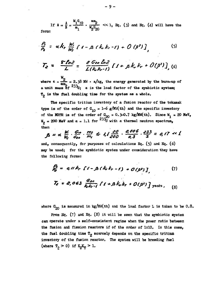**W, G, αm,** If  $\beta = \frac{1}{R} = \frac{1}{R}$ ,  $\frac{1}{R} = \frac{1}{R}$ ,  $\frac{1}{R} = \frac{1}{R}$ ,  $\frac{1}{R} = \frac{1}{R}$ ,  $\frac{1}{R} = \frac{1}{R}$ ,  $\frac{1}{R} = \frac{1}{R}$ ,  $\frac{1}{R} = \frac{1}{R}$ ,  $\frac{1}{R} = \frac{1}{R}$ ,  $\frac{1}{R} = \frac{1}{R}$ ,  $\frac{1}{R} = \frac{1}{R}$ ,  $\frac{1}{R} = \frac{1}{R}$ ,  $\frac{1}{$  $\begin{bmatrix} 2 & 2 & 0 \\ 0 & 2 & 2 \end{bmatrix}$ form:

$$
\frac{\rho_i}{\rho_2} = \alpha k_r \frac{W_i}{W_i} \left[ 1 - B (k_r k_r - 1) + O (\beta^2) \right] \qquad (5)
$$

$$
T_{e} = \frac{\mathcal{E} \ln 2}{L} = \frac{\mathcal{E} \text{ G} \text{ so } \ln 2}{L (k_{e} k_{r-1})} [1 + \beta k_{e} k_{r} + O(\beta^{2})], \tag{6}
$$

**W**  where  $\epsilon = \frac{1}{\sqrt{2}} = 2.38$  MW  $\cdot$  a/kg, the energy generated by the burn-up of a unit mass of <sup>233</sup>U; a is the load factor of the symbiotic system; T<sub>o</sub> is the fuel doubling time for the system as a whole.

**The specific tritium inventory of a fusion reactor of the tokamak type is of the order of**  $G_{10} = 1-6$  **g/MW(th) and the specific inventory** of the MSTR is of the order of  $G_{\infty} = 0.3-0.7$  kg/MW(th). Since  $W_{\alpha} = 20$  MeV,  $W_0 = 200$  MeV and  $\alpha = 1.1$  for  $233\overline{U}$  w **then** 

$$
\beta = \alpha \frac{W_1}{W_2} \cdot \frac{G_{10}}{G_{20}} \cdot \frac{m_2}{m_1} \le 1, \frac{20}{200} \cdot \frac{0,006}{0,3} \cdot \frac{233}{3} = 0,17 \ll 1
$$

**and, consequently, for purposes of calculations Eq. (5) and Eq. (6) may be used; for the symbiotic system under consideration they have the following forms:** 

$$
\beta_2 = g_1/k_r \left[ 1 - \beta (k_0 k_r - 1) + O(\beta^2) \right], \qquad (7)
$$
  

$$
T_2 = 2,063 \frac{G_{20}}{k_0 k_r - 1} \left[ 1 + \beta k_0 k_r + O(\beta^2) \right] \text{ years}, \qquad (8)
$$

where  $G_{20}$  is measured in kg/MW(th) and the load factor L is taken to be 0.8.

**From Eq. (7) and Eq. (8) it will be seen that the symbiotic system can operate under a self-consistent regime when the power ratio between the fusion and fission reactors if of the order of 1:10. In this case,**  the fuel doubling time  $T_{2}$  scarcely depends on the specific tritium **inventory of the fusion reactor. The system will be breeding fuel**  (where  $T_0 > 0$ ) if  $K_{\text{H}} K_{\text{H}} > 1$ .

**- 9 -**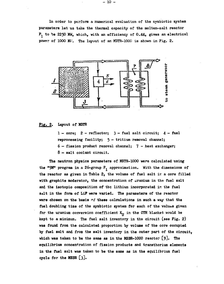**In order to perform a numerical evaluation of the symbiotic system parameters let us take the thermal capacity of the molten-salt reactor P, to be 2250 MW, which, with an efficiency of O.44, gives an electrical power of 1000 MV. The layout of an MSTR-1000 is shown in Pig. 2.** 



# **Fig. 2. Layout of MSTR**

**1 - core; 2 - reflector; 3 - fuel salt circuit; 4 - fuel reprocessing facility; 5 - tritium removal channel; 6 — fission product removal channel; 7 - heat exchanger; 8 — salt coolant circuit.** 

**The neutron physics parameters of MSTR-1000 were calculated using the "9M" program in a 26-group P., approximation. With the dimensions of the reactor as given in Table 2, the volume of fuel salt ir. a core filled with graphite moderator, the concentration of uranium in the fuel salt and the isotopic composition of the lithium incorporated ir. the fuel salt in the form of LiP were varied. The parameters of the reactor were chosen on the basis** *o£* **these calculations in such a way that the fuel doubling time of the symbiotic system for each of the values given**  for the uranium conversion coefficient K<sub>II</sub> in the CTR blanket would be **kept to a minimum. The fuel salt inventory in the circuit (see Fig. 2) was found from the calculated proportion by volume of the core occupied by fuel salt and from the salt inventory in the outer part of the circuit, which was taken to be the same as in the MSBR-1000 reactor [9]. The equilibrium concentration of fission products and transthorium elements in the fuel salt was taken to be the same as in the equilibrium fuel cycle for the MSBR [3].**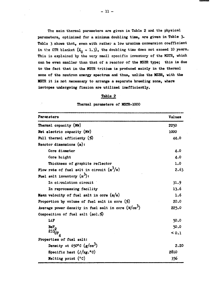**The main thermal parameters are given in Table 2 and the physical parameters, optimized for a minimum doubling time, are given in Table 3. Table 3 shows that, even with rather a low uranium conversion coefficient**  in the CTR blanket  $(K_H = 1.3)$ , the doubling time does not exceed 10 years. **This is explained by the very small specific inventory of the MSTR, which can be even smaller than that of a reactor of the MSBR type; this is due to the fact that in the MSTR tritium is produced mainly in the thermal zone of the neutron energy spectrum and thus, unlike the MSBR, with the MSTR it is not necessary to arrange a separate breeding zone, where isotopes undergoing fission are utilized inefficiently.** 

### **Table 2**

|  | Thermal parameters of MSTR-1000 |  |  |  |
|--|---------------------------------|--|--|--|
|--|---------------------------------|--|--|--|

| Paramaters                                           | <b>Values</b> |  |
|------------------------------------------------------|---------------|--|
| Thermal capacity (MW)                                | 2250          |  |
| Net electric capacity (MW)                           | 1000          |  |
| Full thermal efficienty $(\%)$                       | 44.0          |  |
| Reactor dimensions $(n)$ :                           |               |  |
| Core diameter                                        | 4.0           |  |
| Core height                                          | 4.0           |  |
| Thickness of graphite reflector                      | 1.0           |  |
| Flow rate of fuel salt in circuit $(n^3/s)$          | 2.63          |  |
| Fuel salt inventory $(m^3)$ :                        |               |  |
| In circulation circuit                               | 31.9          |  |
| In reprocessing facility                             | 13.6          |  |
| Mean velocity of fuel salt in core $(m/s)$           | 1.6           |  |
| Proportion by volume of fuel salt in core $(\%)$     | 20.0          |  |
| Average power density in fuel salt in core $(W/cm3)$ | 225.0         |  |
| Composition of fuel salt $(mol.%)$                   |               |  |
| LiF                                                  | 50.0          |  |
| BeF <sub>2</sub>                                     | 50.0          |  |
| $233$ TF                                             | < 0.1         |  |
| Properties of fuel salt:                             |               |  |
| Density at $650^{\circ}$ C ( $g/cm^3$ )              | 2,20          |  |
| Specific heat $(J/kg.^oC)$                           | 2810          |  |
| Melting point (°C)                                   | 356           |  |

**Melting point (°C) 356**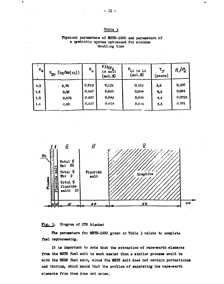## **Table 3**

## **Physical parameters of MSTR-1000 and parameters of a symbiotic system optimized for minimum doubling tine**

| $K_{\nu}$                 | (kg/Mw(th))<br>$^{c}_{20}$         | $\mathbf{k}_{\mathbf{T}}$        | 233 $_{\rm UF_A}$<br>in salt<br>$(\text{mol.}\%)$ | $6_{\rm Li}$ in Li<br>$(\text{mol.}\%)$ | $T_{2}$<br>(years)       | $P_1/P_2$                         |
|---------------------------|------------------------------------|----------------------------------|---------------------------------------------------|-----------------------------------------|--------------------------|-----------------------------------|
| 1,3<br> 1,4<br>1,5<br>1.6 | 0,70<br>٠<br>0,50<br>0,475<br>0,45 | 0,012<br>0,847<br>0.837<br>0,827 | 0, 121<br>0,087<br>0,022<br>0.078                 | 0,162<br>0,0,04<br>0, 0; 1)<br>0,0:1    | 8,6<br>6,3<br>4,4<br>3,3 | 0,100<br>0,004<br>0,0925<br>0.091 |



Fig. 3. Diagram of CTR blanket

**The parameters for MSTR-1000 given in Table 3 relate to complete fuel reprocessing.** 

**It is important to note that the extraction of rare-earth elements from the HSTR fuel salt is much easier than a similar process would be with the MSBR fuel salt, since the MSTR salt does not contain protactinium and thorium, which means that the problem of separating the rare-earth elements from them does not arise.**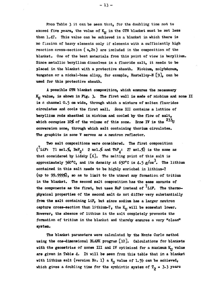**Prom Table 3 it can be seen that, for the doubling time not to**  exceed five years, the value of K<sub>II</sub> in the CTR blanket must be not less **than 1.47. This value can be achieved in a blanket in which there is no fission of heavy elements only if elements with a sufficiently high reaction cross-section ( n,2n) are included in the composition of the blanket. One of the best materials from this point of view is beryllium. Since metallic beryllium dissolves in a fluoride salt, it needs to be placed in the blanket with a protective sheath. Niobium, molybdenum,**  tungsten or a nickel-base alloy, for example, Hastelloy-N [9], can be **used for this protective sheath.** 

**A possible CTR blanket composition, which ensures the necessary K<sub>II</sub> value, is shown in Fig. 3. The first wall is made of niobium and zone II** is a channel 0.5 cm wide, through which a mixture of molten fluorides **circulates and cools the first wall. Zone III contains a lattice of beryllium rods sheathed in niobium and cooled by the flow of salt, which occupies 10\$ of the volume of this zone. Zone IV is the conversion zone, through which salt containing thorium circulates. The graphite in zone V serves as a neutron reflector.** 

**Two salt compositions were considered. The first composition**   $\binom{7}{\text{LiF}}$ : 71 mol.  $\frac{2}{\text{A}}$  BeF<sub>2</sub>: 2 mol. and ThF<sub>1</sub>: 27 mol.  $\frac{2}{\text{A}}$  is the same as **that considered by Lidsky [6], The melting point of this salt is approximately** *\$60°C,* **and its density at 650°C is 4.5 g/cm . The lithium contained in this salt needs to be highly enriched in lithium-7**  (up to 99.999%), so as to limit to the utmost any formation of tritium **in the blanket. The second salt composition has the same amounts of 7 the components as the first, but uses NaF instead of 'LiF. The thermophysical properties of the second salt do not differ very substantially from the salt containing LiF, but since sodium has a larger neutron**  capture cross-section than lithium-7, the K<sub>II</sub> will be somewhat lower. **However, the absence of lithium in the salt completely prevents the formation of tritium in the blanket and thereby ensures a very "clean" system.** 

**The blanket parameters were calculated by the Monte Carlo method using the one-dimensional BLANK program [l0]. Calculations for blankets**  with the geometries of zones III and IV optimized for a maximum  $K_H$  value **are given in Table 4> It will be seen from this table that in a blanket with lithium salt (version No. 1) a K<sub>II</sub> value of 1.59 can be achieved,** which gives a doubling time for the symbiotic system of  $T_{2} = 3.3$  years

**- 13 -**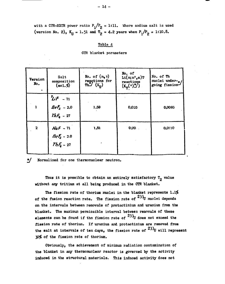**with a CTR-KSTR power ratio**  $P_1/P_2 = 1:11$ **. Where sodium salt is used** (version No. 2),  $K_{U} = 1.51$  and  $T_{2} = 4.2$  years when  $P_{1}/P_{2} = 1:10.8$ .

### **Table 4**

| <b>Version</b><br>$\mathbf{N}$ . | Salt<br>composition<br>$(\text{mol}, \%)$    | No. of $(n, \gamma)$<br>reactions for<br>The $(K_{II})$ | No. of<br>$\text{Li}(n; n^*, \alpha)$ T<br>reactions<br>$(K_T(\cdot)^\ast)$ | No. of Th<br>muclei under-<br>going fission |
|----------------------------------|----------------------------------------------|---------------------------------------------------------|-----------------------------------------------------------------------------|---------------------------------------------|
|                                  | $2iF - 71$<br>$BeF_2 - 2.0$<br>Th $F_4 - 27$ | 1,59                                                    | 0,035                                                                       | 0,0085                                      |
| $\mathbf{z}$                     | $NaF - 71$<br>$BeE_2 - 2.0$<br>$ThE_6 - 27$  | 1,51                                                    | $0,00$ .                                                                    | 0,0110                                      |



Thus it is possible to obtain an entirely satisfactory T<sub>2</sub> value **without any tritium at all being produced in the CTR blanket.** 

**The fission rate of thorium nuclei in the blanket represents 1.1%**  of the fusion reaction rate. The fission rate of <sup>233</sup>U nuclei depends **on the intervals between removals of protactinium and uranium from the blanket. The maximum permissible interval between removals of these elements can be found if the fission rate of <sup>233</sup>U does not exceed the fission rate of thorium. If uranium and protactinium are removed from the salt at intervals of ten days, the fission rate of**  30% of the fission rate of thorium.

Obviously, the achievement of minimum radiation contamination of the blanket in any thermonuclear reactor is governed by the activity induced in the structural materials. This induced activity does not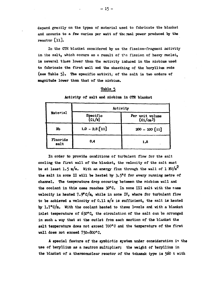**depend greatly on the types of material used to fabricate the blanket**  and amounts to a few curies per watt of the mal power produced by the **reactor Clll.** 

**In the CTR blanket considered by us the fission-fragment activity in the salt, which occurs as a result of the fission of heavy nuclei, is several tiiues lower than the activity induced in the niobium used to fabricate the first wall and the sheathing of the beryllium rods**  (see Table 5). The specific activit<sub>i</sub> of the salt is two orders of **magnitude lower than that of the niobium.** 

### **Table 5**

|                         | Activity                               |                                 |  |
|-------------------------|----------------------------------------|---------------------------------|--|
| Material                | Specific<br>$\overline{(ci/\text{W})}$ | Per unit volume<br>$(c_i/c_m3)$ |  |
| Nb                      | $1,0 - 2,5$ [11]                       | $200 - 500$ [11]                |  |
| Fluoride<br>0,4<br>salt |                                        | 1,8                             |  |

**Activity of salt and niobium in CTR blanket** 

**In order to provide conditions of turbulent flow for the salt cooling the first wall of the blanket, the velocity of the salt must be at least 1.5 m/s.** With an energy flux through the wall of 1 MW/m<sup>2</sup> **the salt in zone II will be heated by 3»5°C for every running metre of channel. The temperature drop occuring between the niobium wall and the coolant in this case reaches 30°C. In zone III salt with the same velocity is heated 7.9°c/m, while in zone IV, where for turbulent flow to be achieved a velocity of 0.11 m/s is sufficient, the salt is heated by l»7°c/m. With the coolant heated to these levels and with a blanket inlet temperature of 630°C, the circulation of the salt can be arranged in such & way that at the outlet from each section of the blanket the salt temperature does not exceed 700°C and the temperature of the first wall does not exceed 750-800°C.** 

**A special feature of the symbiotic system under consideration is the use of beryllium as a neutron multiplier; the weight of beryllium in the blanket of a thermonuclear reactor of the tokamak type is 560 t with**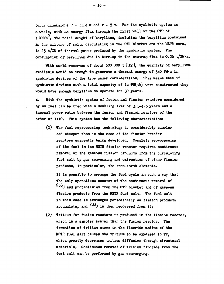torus dimensions  $R = 11.4$  m and  $r = 5$  m. For the symbiotic system as **a whole, with an energy flux through the first wall of the CTR of 1 XW/a, the total weight of beryllium, including the berylliun contained in the mixture of salts circulating in the CTR blanket and the MSTR core, is 25 t/GW of thermal power produced by the symbiotic system. The**  consumption of beryllium due to burn-up in the neutron flux is 0.26 t/GW·a.

With world reserves of about 600 000 t [12]<sup>,</sup> the quantity of beryllium **available would be enough to generate a thermal energy of 54O TW»a in symbiotic devices of the type under consideration. This means that if symbiotic devices with a total capacity of 18 TW(th) were constructed they would have enough beryllium to operate for 30 years.** 

**4. With the symbiotic system of fusion and fission reactors considered**  by us fuel can be bred with a doubling time of 3.5-4.5 years and a **thermal power ratio between the fusion and fission reactors of the order of 1:10. This system has the following characteristics:** 

**(1) The fuel reprocessing technology is considerably simpler and cheaper than in the case of the fission breeder reactors currently being developed. Complete reprocessing of the fuel in the MSTR fission reactor requires continuous removal of the gaseous fission products from the circulating fuel salt by gas scavenging and extraction of other fission products, in particular, the rare-earth elements.** 

**It is possible to arrange the fuel cycle in such a way that the only operations consist of the continuous removal of and protactinium from the CTR blanket and of gaseous fission products from the MSTR fuel salt. The fuel salt in this case is exchanged periodically as fission products**  accumulate, and  $233<sub>U</sub>$  is then recovered from it:

**(2) Tritium for fusion reactors is produced in the fission reactor, which is a simpler system than the fusion reactor. The formation of tritium atoms in the fluoride medium of the MSTR fuel salt causes the tritium to be oxydized to TP, which greatly decreases tritium diffusion through structural materials. Continuous removal of tritium fluoride from the fuel salt can be performed by gas scavenging;** 

**- 16 -**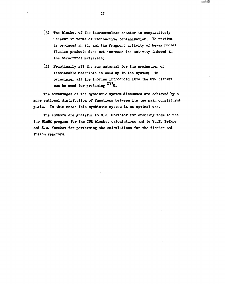- **(3) The blanket of the thermonuclear reactor is comparatively "clean" in terms of radioactive contamination. No tritium is produced in it, and the fragment activity of heavy nuclei fission products does not increase the activity induced in the structural materials;**
- (4) Practically all the raw material for the production of **fissionable materials is used up in the system; in principle, all the thorium introduced into the CTR blanket can be used for producing <sup>233</sup> U.**

**The advantages of the symbiotic system discussed are achieved by a more rational distribution of functions between its two main constituent**  parts. In this sense this symbiotic system is an optimal one.

**The authors are grateful to G.E. Shatalov for enabling them to use the BLANK program for the CTR blanket calculations and to Yu.K. Brikov and S.A. Konakov for performing the calculations for the fission and fusion reactors.**